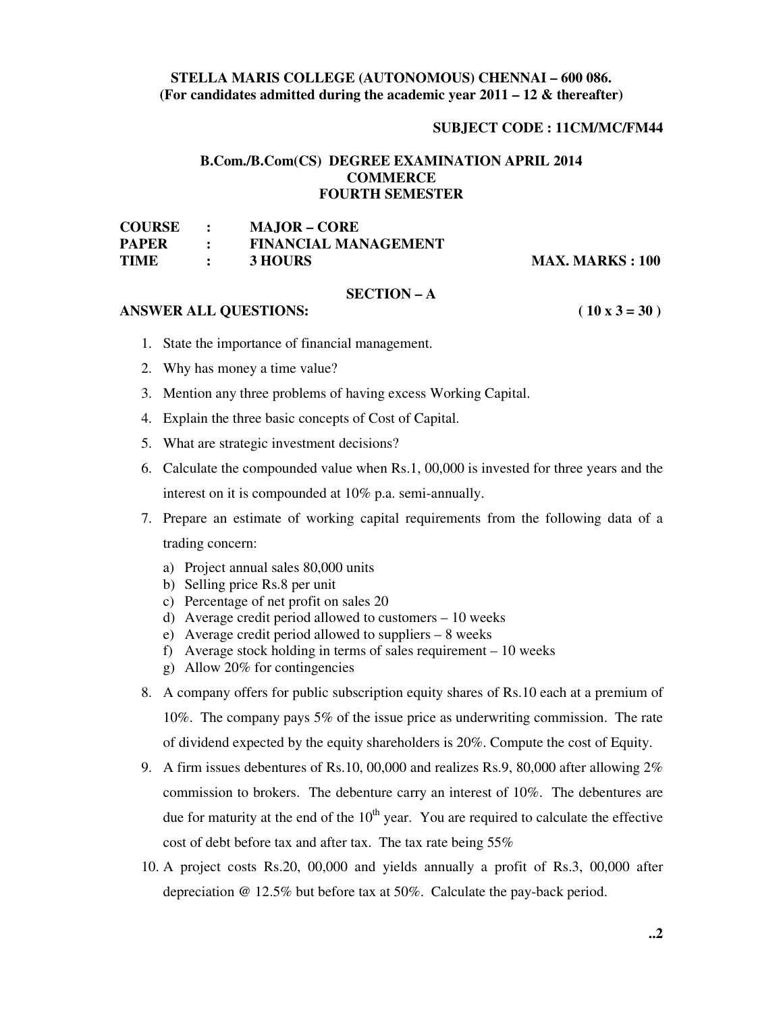# **STELLA MARIS COLLEGE (AUTONOMOUS) CHENNAI – 600 086. (For candidates admitted during the academic year 2011 – 12 & thereafter)**

#### **SUBJECT CODE : 11CM/MC/FM44**

# **B.Com./B.Com(CS) DEGREE EXAMINATION APRIL 2014 COMMERCE FOURTH SEMESTER**

| <b>COURSE</b> |              | <b>MAJOR – CORE</b>         |
|---------------|--------------|-----------------------------|
| <b>PAPER</b>  |              | <b>FINANCIAL MANAGEMENT</b> |
| <b>TIME</b>   | $\mathbf{r}$ | 3 HOURS                     |

**MAX. MARKS : 100** 

#### **SECTION – A**

### **ANSWER ALL QUESTIONS: ( 10 x 3 = 30 )**

- 1. State the importance of financial management.
- 2. Why has money a time value?
- 3. Mention any three problems of having excess Working Capital.
- 4. Explain the three basic concepts of Cost of Capital.
- 5. What are strategic investment decisions?
- 6. Calculate the compounded value when Rs.1, 00,000 is invested for three years and the interest on it is compounded at 10% p.a. semi-annually.
- 7. Prepare an estimate of working capital requirements from the following data of a trading concern:
	- a) Project annual sales 80,000 units
	- b) Selling price Rs.8 per unit
	- c) Percentage of net profit on sales 20
	- d) Average credit period allowed to customers 10 weeks
	- e) Average credit period allowed to suppliers 8 weeks
	- f) Average stock holding in terms of sales requirement 10 weeks
	- g) Allow 20% for contingencies
- 8. A company offers for public subscription equity shares of Rs.10 each at a premium of 10%. The company pays 5% of the issue price as underwriting commission. The rate of dividend expected by the equity shareholders is 20%. Compute the cost of Equity.
- 9. A firm issues debentures of Rs.10, 00,000 and realizes Rs.9, 80,000 after allowing  $2\%$ commission to brokers. The debenture carry an interest of 10%. The debentures are due for maturity at the end of the  $10<sup>th</sup>$  year. You are required to calculate the effective cost of debt before tax and after tax. The tax rate being 55%
- 10. A project costs Rs.20, 00,000 and yields annually a profit of Rs.3, 00,000 after depreciation @ 12.5% but before tax at 50%. Calculate the pay-back period.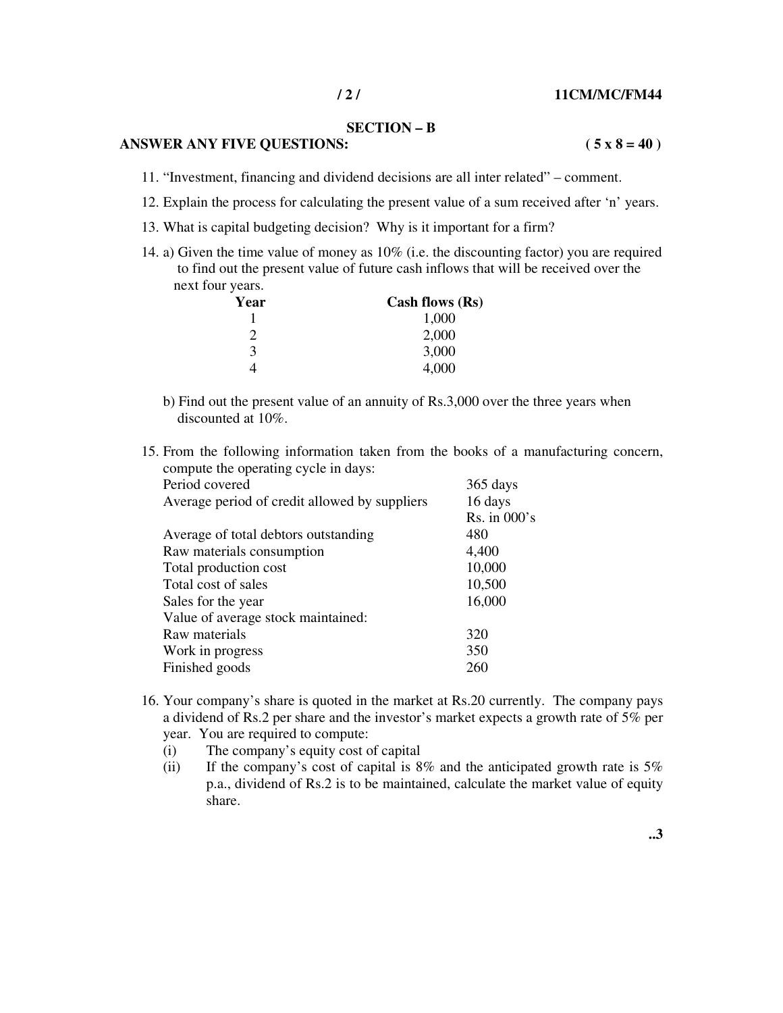# **SECTION – B**

### **ANSWER ANY FIVE QUESTIONS:**  $(5 \times 8 = 40)$

11. "Investment, financing and dividend decisions are all inter related" – comment.

- 12. Explain the process for calculating the present value of a sum received after 'n' years.
- 13. What is capital budgeting decision? Why is it important for a firm?
- 14. a) Given the time value of money as 10% (i.e. the discounting factor) you are required to find out the present value of future cash inflows that will be received over the next four years.

| Year | Cash flows (Rs) |
|------|-----------------|
|      | 1,000           |
| ာ    | 2,000           |
| 3    | 3,000           |
|      | 4,000           |

- b) Find out the present value of an annuity of Rs.3,000 over the three years when discounted at 10%.
- 15. From the following information taken from the books of a manufacturing concern, compute the operating cycle in days:

| Period covered                                | 365 days         |
|-----------------------------------------------|------------------|
| Average period of credit allowed by suppliers | 16 days          |
|                                               | $Rs.$ in $000's$ |
| Average of total debtors outstanding          | 480              |
| Raw materials consumption                     | 4,400            |
| Total production cost                         | 10,000           |
| Total cost of sales                           | 10,500           |
| Sales for the year                            | 16,000           |
| Value of average stock maintained:            |                  |
| Raw materials                                 | 320              |
| Work in progress                              | 350              |
| Finished goods                                | 260              |
|                                               |                  |

- 16. Your company's share is quoted in the market at Rs.20 currently. The company pays a dividend of Rs.2 per share and the investor's market expects a growth rate of 5% per year. You are required to compute:
	- (i) The company's equity cost of capital
	- (ii) If the company's cost of capital is  $8\%$  and the anticipated growth rate is  $5\%$ p.a., dividend of Rs.2 is to be maintained, calculate the market value of equity share.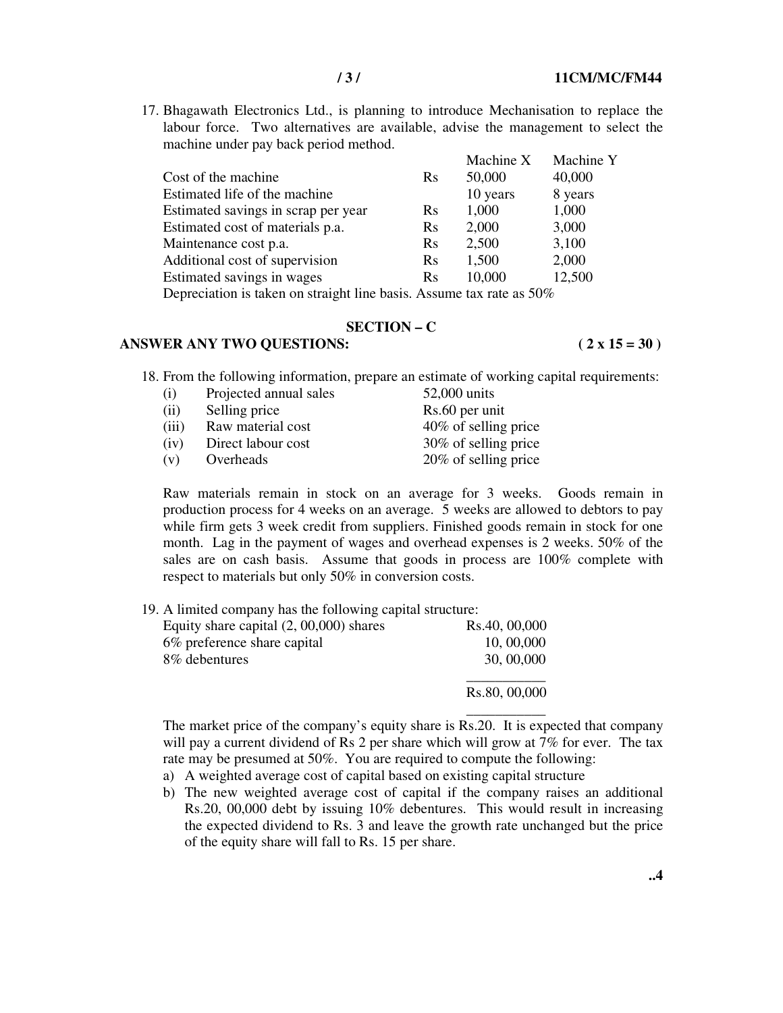17. Bhagawath Electronics Ltd., is planning to introduce Mechanisation to replace the labour force. Two alternatives are available, advise the management to select the machine under pay back period method.

|                                                                                                                                                                                                                                   |            | Machine X                                        | Machine Y |
|-----------------------------------------------------------------------------------------------------------------------------------------------------------------------------------------------------------------------------------|------------|--------------------------------------------------|-----------|
| Cost of the machine                                                                                                                                                                                                               | <b>R</b> s | 50,000                                           | 40,000    |
| Estimated life of the machine                                                                                                                                                                                                     |            | 10 years                                         | 8 years   |
| Estimated savings in scrap per year                                                                                                                                                                                               | $\rm Rs$   | 1,000                                            | 1,000     |
| Estimated cost of materials p.a.                                                                                                                                                                                                  | Rs         | 2,000                                            | 3,000     |
| Maintenance cost p.a.                                                                                                                                                                                                             | $\rm Rs$   | 2,500                                            | 3,100     |
| Additional cost of supervision                                                                                                                                                                                                    | <b>Rs</b>  | 1,500                                            | 2,000     |
| Estimated savings in wages                                                                                                                                                                                                        | $\rm Rs$   | 10,000                                           | 12,500    |
| $\mathbf{r}$ . The set of the set of the set of the set of the set of the set of the set of the set of the set of the set of the set of the set of the set of the set of the set of the set of the set of the set of the set of t |            | $F \cap T$<br>$\sim$ $\sim$ $\sim$ $\sim$ $\sim$ |           |

Depreciation is taken on straight line basis. Assume tax rate as 50%

#### **SECTION – C**

# ANSWER ANY TWO QUESTIONS: (2 x 15 = 30)

18. From the following information, prepare an estimate of working capital requirements:

| (i)   | Projected annual sales | 52,000 units         |
|-------|------------------------|----------------------|
| (ii)  | Selling price          | Rs.60 per unit       |
| (iii) | Raw material cost      | 40% of selling price |
| (iv)  | Direct labour cost     | 30% of selling price |
| (v)   | Overheads              | 20% of selling price |

Raw materials remain in stock on an average for 3 weeks. Goods remain in production process for 4 weeks on an average. 5 weeks are allowed to debtors to pay while firm gets 3 week credit from suppliers. Finished goods remain in stock for one month. Lag in the payment of wages and overhead expenses is 2 weeks. 50% of the sales are on cash basis. Assume that goods in process are 100% complete with respect to materials but only 50% in conversion costs.

19. A limited company has the following capital structure:

| Equity share capital $(2, 00, 000)$ shares | Rs.40, 00,000 |
|--------------------------------------------|---------------|
| 6% preference share capital                | 10, 00,000    |
| 8\% debentures                             | 30, 00,000    |
|                                            | Rs.80, 00,000 |

 \_\_\_\_\_\_\_\_\_\_\_ The market price of the company's equity share is Rs.20. It is expected that company will pay a current dividend of Rs 2 per share which will grow at 7% for ever. The tax rate may be presumed at 50%. You are required to compute the following:

- a) A weighted average cost of capital based on existing capital structure
- b) The new weighted average cost of capital if the company raises an additional Rs.20, 00,000 debt by issuing 10% debentures. This would result in increasing the expected dividend to Rs. 3 and leave the growth rate unchanged but the price of the equity share will fall to Rs. 15 per share.